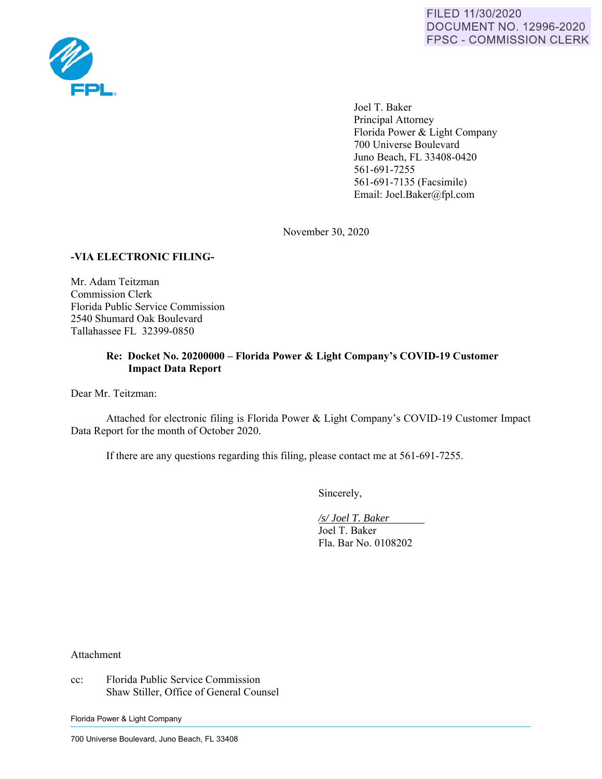

 Joel T. Baker Principal Attorney Florida Power & Light Company 700 Universe Boulevard Juno Beach, FL 33408-0420 561-691-7255 561-691-7135 (Facsimile) Email: Joel.Baker@fpl.com

November 30, 2020

### **-VIA ELECTRONIC FILING-**

Mr. Adam Teitzman Commission Clerk Florida Public Service Commission 2540 Shumard Oak Boulevard Tallahassee FL 32399-0850

### **Re: Docket No. 20200000 – Florida Power & Light Company's COVID-19 Customer Impact Data Report**

Dear Mr. Teitzman:

Attached for electronic filing is Florida Power & Light Company's COVID-19 Customer Impact Data Report for the month of October 2020.

If there are any questions regarding this filing, please contact me at 561-691-7255.

Sincerely,

 */s/ Joel T. Baker*  Joel T. Baker Fla. Bar No. 0108202

Attachment

cc: Florida Public Service Commission Shaw Stiller, Office of General Counsel

Florida Power & Light Company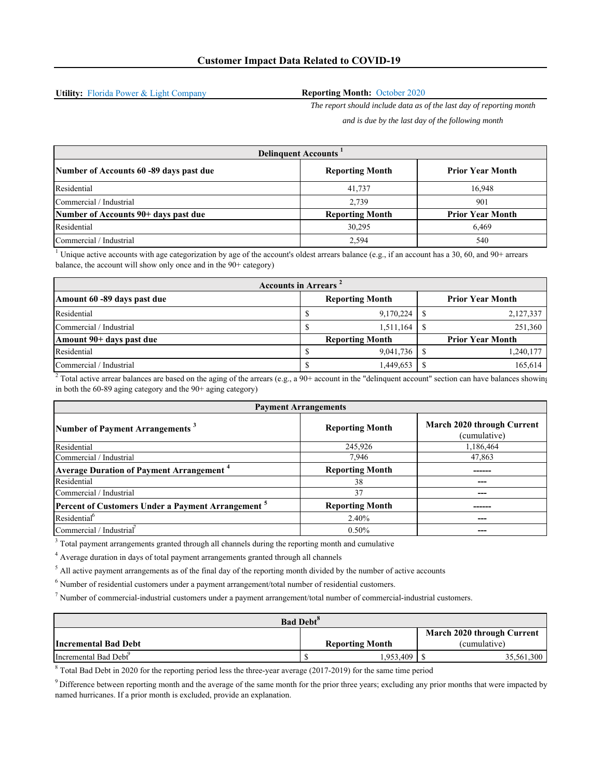**Utility:** Florida Power & Light Company

#### **Reporting Month:** October 2020

*The report should include data as of the last day of reporting month* 

*and is due by the last day of the following month*

| <b>Delinquent Accounts</b>              |                        |                         |  |  |
|-----------------------------------------|------------------------|-------------------------|--|--|
| Number of Accounts 60 -89 days past due | <b>Reporting Month</b> | <b>Prior Year Month</b> |  |  |
| Residential                             | 41,737                 | 16,948                  |  |  |
| Commercial / Industrial                 | 2,739                  | 901                     |  |  |
| Number of Accounts 90+ days past due    | <b>Reporting Month</b> | <b>Prior Year Month</b> |  |  |
| Residential                             | 30,295                 | 6.469                   |  |  |
| Commercial / Industrial                 | 2,594                  | 540                     |  |  |

<sup>1</sup> Unique active accounts with age categorization by age of the account's oldest arrears balance (e.g., if an account has a 30, 60, and 90+ arrears balance, the account will show only once and in the 90+ category)

| <b>Accounts in Arrears</b> <sup>2</sup> |  |                        |  |                         |
|-----------------------------------------|--|------------------------|--|-------------------------|
| Amount 60 -89 days past due             |  | <b>Reporting Month</b> |  | <b>Prior Year Month</b> |
| Residential                             |  | 9,170,224              |  | 2,127,337               |
| Commercial / Industrial                 |  | 1.511.164              |  | 251,360                 |
| Amount 90+ days past due                |  | <b>Reporting Month</b> |  | <b>Prior Year Month</b> |
| Residential                             |  | 9.041.736              |  | 1,240,177               |
| Commercial / Industrial                 |  | 1,449,653              |  | 165,614                 |

<sup>2</sup> Total active arrear balances are based on the aging of the arrears (e.g., a 90+ account in the "delinquent account" section can have balances showing in both the 60-89 aging category and the 90+ aging category)

| <b>Payment Arrangements</b>                                   |                        |                                            |  |  |
|---------------------------------------------------------------|------------------------|--------------------------------------------|--|--|
| Number of Payment Arrangements <sup>3</sup>                   | <b>Reporting Month</b> | March 2020 through Current<br>(cumulative) |  |  |
| Residential                                                   | 245,926                | 1,186,464                                  |  |  |
| Commercial / Industrial                                       | 7,946                  | 47,863                                     |  |  |
| <b>Average Duration of Payment Arrangement</b> <sup>4</sup>   | <b>Reporting Month</b> |                                            |  |  |
| Residential                                                   | 38                     |                                            |  |  |
| Commercial / Industrial                                       | 37                     |                                            |  |  |
| Percent of Customers Under a Payment Arrangement <sup>5</sup> | <b>Reporting Month</b> |                                            |  |  |
| Residential <sup>6</sup>                                      | 2.40%                  |                                            |  |  |
| Commercial / Industrial                                       | $0.50\%$               |                                            |  |  |

 $3$  Total payment arrangements granted through all channels during the reporting month and cumulative

<sup>4</sup> Average duration in days of total payment arrangements granted through all channels

 $<sup>5</sup>$  All active payment arrangements as of the final day of the reporting month divided by the number of active accounts</sup>

 $<sup>6</sup>$  Number of residential customers under a payment arrangement/total number of residential customers.</sup>

7 Number of commercial-industrial customers under a payment arrangement/total number of commercial-industrial customers.

| <b>Bad Debt<sup>8</sup></b>       |  |                        |  |              |
|-----------------------------------|--|------------------------|--|--------------|
| March 2020 through Current        |  |                        |  |              |
| Incremental Bad Debt              |  | <b>Reporting Month</b> |  | (cumulative) |
| Incremental Bad Debt <sup>9</sup> |  | 1.953.409              |  | 35,561,300   |

<sup>8</sup> Total Bad Debt in 2020 for the reporting period less the three-year average (2017-2019) for the same time period

<sup>9</sup> Difference between reporting month and the average of the same month for the prior three years; excluding any prior months that were impacted by named hurricanes. If a prior month is excluded, provide an explanation.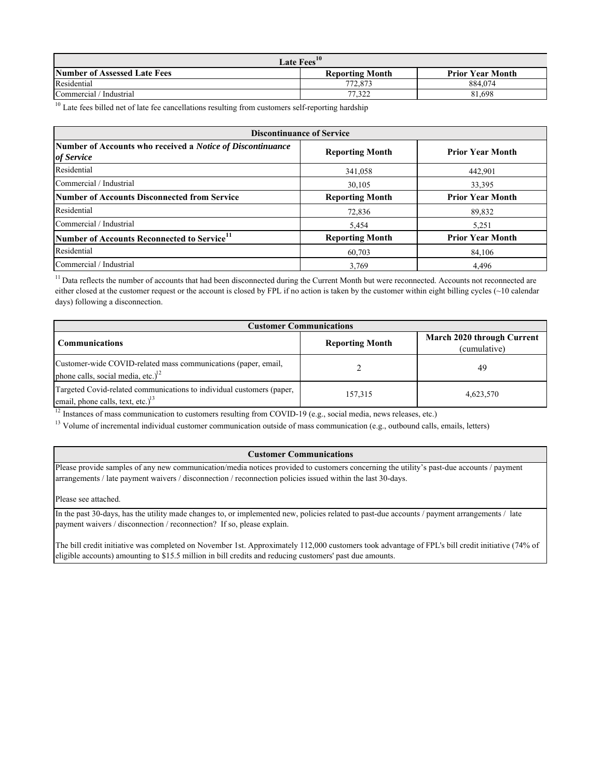| Late Fees <sup>10</sup>             |                        |                         |  |
|-------------------------------------|------------------------|-------------------------|--|
| <b>Number of Assessed Late Fees</b> | <b>Reporting Month</b> | <b>Prior Year Month</b> |  |
| Residential                         | 772,873                | 884.074                 |  |
| Commercial / Industrial             | 77.322                 | 81,698                  |  |

 $\frac{10}{10}$  Late fees billed net of late fee cancellations resulting from customers self-reporting hardship

| <b>Discontinuance of Service</b>                                                |                        |                         |  |
|---------------------------------------------------------------------------------|------------------------|-------------------------|--|
| Number of Accounts who received a <i>Notice of Discontinuance</i><br>of Service | <b>Reporting Month</b> | <b>Prior Year Month</b> |  |
| Residential                                                                     | 341,058                | 442,901                 |  |
| Commercial / Industrial                                                         | 30,105                 | 33,395                  |  |
| Number of Accounts Disconnected from Service                                    | <b>Reporting Month</b> | <b>Prior Year Month</b> |  |
| Residential                                                                     | 72,836                 | 89,832                  |  |
| Commercial / Industrial                                                         | 5.454                  | 5.251                   |  |
| Number of Accounts Reconnected to Service <sup>11</sup>                         | <b>Reporting Month</b> | <b>Prior Year Month</b> |  |
| Residential                                                                     | 60,703                 | 84,106                  |  |
| Commercial / Industrial                                                         | 3,769                  | 4.496                   |  |

<sup>11</sup> Data reflects the number of accounts that had been disconnected during the Current Month but were reconnected. Accounts not reconnected are either closed at the customer request or the account is closed by FPL if no action is taken by the customer within eight billing cycles (~10 calendar days) following a disconnection.

| <b>Customer Communications</b>                                                                                |                        |                                            |  |  |
|---------------------------------------------------------------------------------------------------------------|------------------------|--------------------------------------------|--|--|
| <b>Communications</b>                                                                                         | <b>Reporting Month</b> | March 2020 through Current<br>(cumulative) |  |  |
| Customer-wide COVID-related mass communications (paper, email,<br>phone calls, social media, etc.) $12$       |                        | 49                                         |  |  |
| Targeted Covid-related communications to individual customers (paper,<br>email, phone calls, text, etc.) $13$ | 157,315                | 4,623,570                                  |  |  |

<sup>12</sup> Instances of mass communication to customers resulting from COVID-19 (e.g., social media, news releases, etc.)

<sup>13</sup> Volume of incremental individual customer communication outside of mass communication (e.g., outbound calls, emails, letters)

#### **Customer Communications**

Please provide samples of any new communication/media notices provided to customers concerning the utility's past-due accounts / payment arrangements / late payment waivers / disconnection / reconnection policies issued within the last 30-days.

Please see attached.

In the past 30-days, has the utility made changes to, or implemented new, policies related to past-due accounts / payment arrangements / late payment waivers / disconnection / reconnection? If so, please explain.

The bill credit initiative was completed on November 1st. Approximately 112,000 customers took advantage of FPL's bill credit initiative (74% of eligible accounts) amounting to \$15.5 million in bill credits and reducing customers' past due amounts.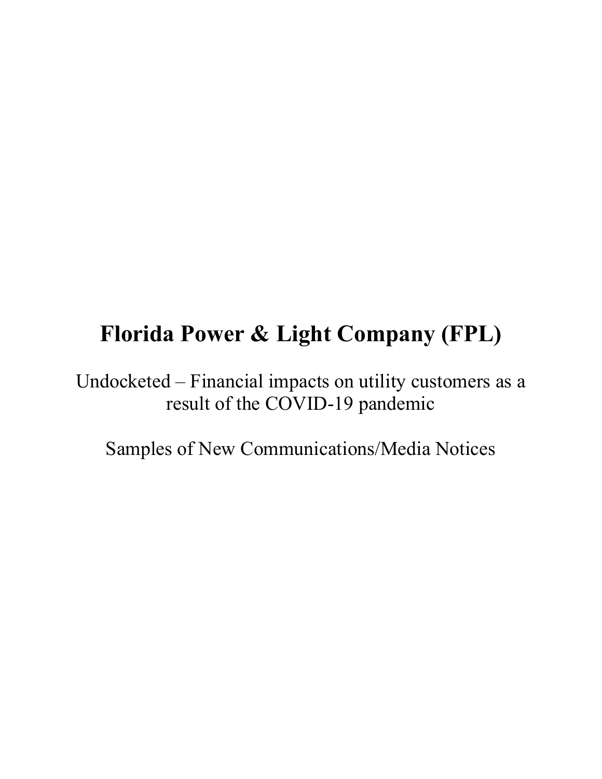## **Florida Power & Light Company (FPL)**

Undocketed – Financial impacts on utility customers as a result of the COVID-19 pandemic

Samples of New Communications/Media Notices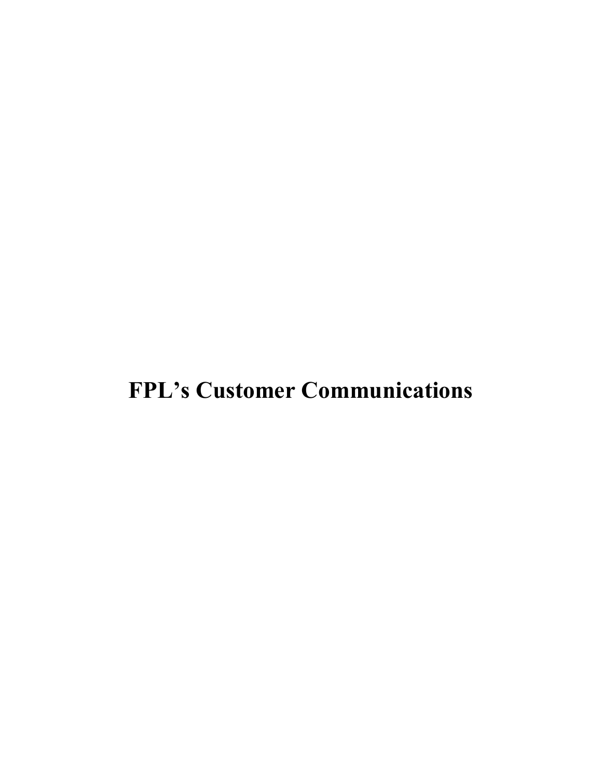# **FPL's Customer Communications**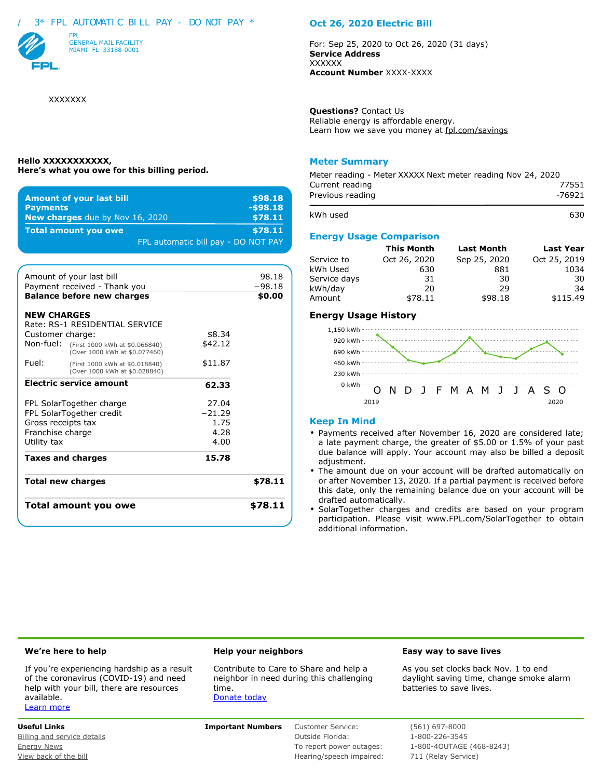#### / 3\* FPL AUTOMATIC BILL PAY - DO NOT PAY \*



XXXXXXX

#### **Hello XXXXXXXXXXX, Here's what you owe for this billing period.**

| <b>Amount of your last bill</b>        | \$98.18                             |
|----------------------------------------|-------------------------------------|
| <b>Payments</b>                        | $-598.18$                           |
| <b>New charges</b> due by Nov 16, 2020 | \$78.11                             |
| <b>Total amount you owe</b>            | \$78.11                             |
|                                        | FPL automatic bill pay - DO NOT PAY |

|                    | Total amount you owe                                                      |                   | \$78.11  |
|--------------------|---------------------------------------------------------------------------|-------------------|----------|
|                    | <b>Total new charges</b>                                                  |                   | \$78.11  |
|                    | <b>Taxes and charges</b>                                                  | 15.78             |          |
| Utility tax        |                                                                           | 4.00              |          |
| Franchise charge   |                                                                           | 4.28              |          |
| Gross receipts tax |                                                                           | 1.75              |          |
|                    | FPL SolarTogether charge<br>FPL SolarTogether credit                      | 27.04<br>$-21.29$ |          |
|                    | <b>Electric service amount</b>                                            | 62.33             |          |
| Fuel:              | (First 1000 kWh at \$0.018840)<br>(Over 1000 kWh at \$0.028840)           | \$11.87           |          |
|                    | Non-fuel: (First 1000 kWh at \$0.066840)<br>(Over 1000 kWh at \$0.077460) | \$42.12           |          |
| Customer charge:   |                                                                           | \$8.34            |          |
| <b>NEW CHARGES</b> | Rate: RS-1 RESIDENTIAL SERVICE                                            |                   |          |
|                    | <b>Balance before new charges</b>                                         |                   | \$0.00   |
|                    | Payment received - Thank you                                              |                   | $-98.18$ |
|                    | Amount of your last bill                                                  |                   | 98.18    |

#### **Oct 26, 2020 Electric Bill**

For: Sep 25, 2020 to Oct 26, 2020 (31 days) **Service Address XXXXXX Account Number** XXXX-XXXX

**Questions?** Contact Us Reliable energy is affordable energy. Learn how we save you money at fpl.com/savings

#### **Meter Summary**

| Meter reading - Meter XXXXX Next meter reading Nov 24, 2020 |                 |  |  |  |
|-------------------------------------------------------------|-----------------|--|--|--|
| Current reading<br>Previous reading                         | 77551<br>-76921 |  |  |  |
| kWh used                                                    | 630             |  |  |  |
|                                                             |                 |  |  |  |

#### **Energy Usage Comparison**

|              | <b>This Month</b> | <b>Last Month</b> | <b>Last Year</b> |
|--------------|-------------------|-------------------|------------------|
| Service to   | Oct 26, 2020      | Sep 25, 2020      | Oct 25, 2019     |
| kWh Used     | 630               | 881               | 1034             |
| Service days | 31                | 30                | 30               |
| kWh/day      | 20                | 29                | -34              |
| Amount       | \$78.11           | \$98.18           | \$115.49         |

#### **Energy Usage History**



#### **Keep In Mind**

- Payments received after November 16, 2020 are considered late; a late payment charge, the greater of \$5.00 or 1.5% of your past due balance will apply. Your account may also be billed a deposit adjustment.
- The amount due on your account will be drafted automatically on or after November 13, 2020. If a partial payment is received before this date, only the remaining balance due on your account will be drafted automatically.
- SolarTogether charges and credits are based on your program participation. Please visit www.FPL.com/SolarTogether to obtain additional information.

If you're experiencing hardship as a result of the coronavirus (COVID-19) and need help with your bill, there are resources available. Learn more

Contribute to Care to Share and help a neighbor in need during this challenging time. Donate today

#### **We're here to help Help your neighbors Easy way to save lives**

As you set clocks back Nov. 1 to end daylight saving time, change smoke alarm batteries to save lives.

**Useful Links Important Numbers** Customer Service: (561) 697-8000

Billing and service details and service details and service of the Coutside Florida: 1-800-226-3545 View back of the bill North American Control of the bill Hearing/speech impaired: 711 (Relay Service)

Energy News To report power outages: The 1800-4OUTAGE (468-8243)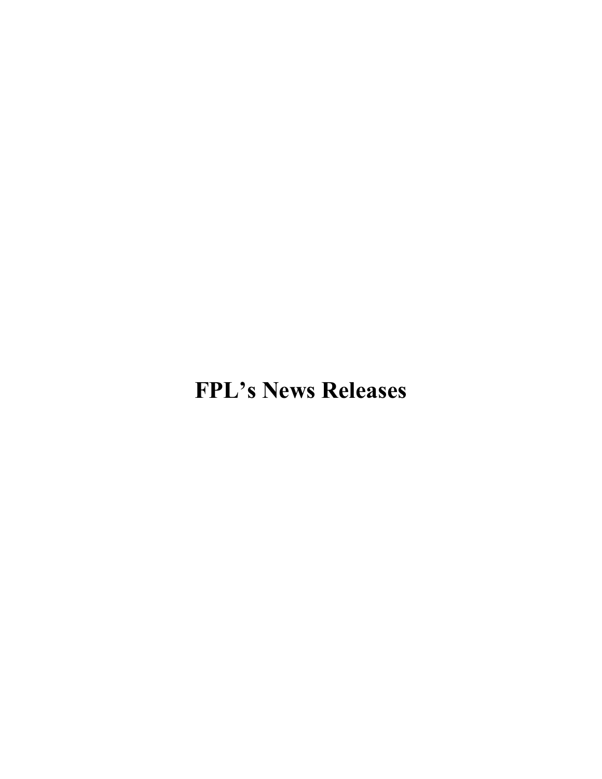# **FPL's News Releases**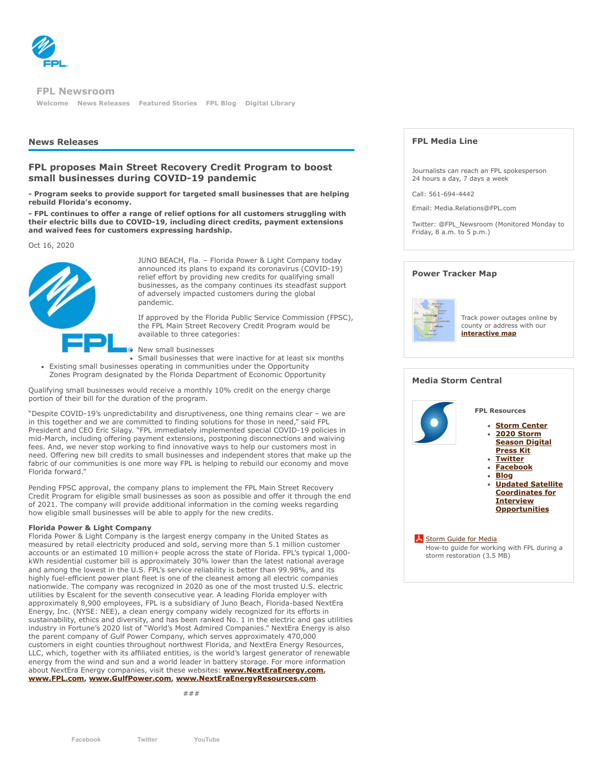

**[Welcome](http://newsroom.fpl.com/welcome) [News Releases](http://newsroom.fpl.com/news-releases) [Featured Stories](http://newsroom.fpl.com/featured-stories) [FPL Blog](http://www.fplblog.com/) [Digital Library](http://newsroom.fpl.com/digital-library) FPL Newsroom**

#### **News Releases**

#### **FPL proposes Main Street Recovery Credit Program to boost small businesses during COVID-19 pandemic**

**- Program seeks to provide support for targeted small businesses that are helping rebuild Florida's economy.**

**- FPL continues to offer a range of relief options for all customers struggling with their electric bills due to COVID-19, including direct credits, payment extensions and waived fees for customers expressing hardship.**

Oct 16, 2020



JUNO BEACH, Fla. – Florida Power & Light Company today announced its plans to expand its coronavirus (COVID-19) relief effort by providing new credits for qualifying small businesses, as the company continues its steadfast support of adversely impacted customers during the global pandemic.

If approved by the Florida Public Service Commission (FPSC), the FPL Main Street Recovery Credit Program would be available to three categories:

**G** New small businesses

Small businesses that were inactive for at least six months Existing small businesses operating in communities under the Opportunity Zones Program designated by the Florida Department of Economic Opportunity

Qualifying small businesses would receive a monthly 10% credit on the energy charge portion of their bill for the duration of the program.

"Despite COVID-19's unpredictability and disruptiveness, one thing remains clear – we are in this together and we are committed to finding solutions for those in need," said FPL President and CEO Eric Silagy. "FPL immediately implemented special COVID-19 policies in mid-March, including offering payment extensions, postponing disconnections and waiving fees. And, we never stop working to find innovative ways to help our customers most in need. Offering new bill credits to small businesses and independent stores that make up the fabric of our communities is one more way FPL is helping to rebuild our economy and move Florida forward."

Pending FPSC approval, the company plans to implement the FPL Main Street Recovery Credit Program for eligible small businesses as soon as possible and offer it through the end of 2021. The company will provide additional information in the coming weeks regarding how eligible small businesses will be able to apply for the new credits.

#### **Florida Power & Light Company**

Florida Power & Light Company is the largest energy company in the United States as measured by retail electricity produced and sold, serving more than 5.1 million customer accounts or an estimated 10 million+ people across the state of Florida. FPL's typical 1,000 kWh residential customer bill is approximately 30% lower than the latest national average and among the lowest in the U.S. FPL's service reliability is better than 99.98%, and its highly fuel-efficient power plant fleet is one of the cleanest among all electric companies nationwide. The company was recognized in 2020 as one of the most trusted U.S. electric utilities by Escalent for the seventh consecutive year. A leading Florida employer with approximately 8,900 employees, FPL is a subsidiary of Juno Beach, Florida-based NextEra Energy, Inc. (NYSE: NEE), a clean energy company widely recognized for its efforts in sustainability, ethics and diversity, and has been ranked No. 1 in the electric and gas utilities industry in Fortune's 2020 list of "World's Most Admired Companies." NextEra Energy is also the parent company of Gulf Power Company, which serves approximately 470,000 customers in eight counties throughout northwest Florida, and NextEra Energy Resources, LLC, which, together with its affiliated entities, is the world's largest generator of renewable energy from the wind and sun and a world leader in battery storage. For more information about NextEra Energy companies, visit these websites: **[www.NextEraEnergy.com](http://www.nexteraenergy.com/), [www.FPL.com,](http://www.fpl.com/) [www.GulfPower.com](http://www.gulfpower.com/), [www.NextEraEnergyResources.com](http://www.nexteraenergyresources.com/)**.

###

**FPL Media Line**

Journalists can reach an FPL spokesperson 24 hours a day, 7 days a week

Call: 561-694-4442

Email: Media.Relations@FPL.com

Twitter: @FPL\_Newsroom (Monitored Monday to Friday, 8 a.m. to 5 p.m.)

#### **Power Tracker Map**



Track power outages online by county or address with our **[interactive map](http://www.fplmaps.com/)**

#### **Media Storm Central**



**Facebook Twitter YouTube**